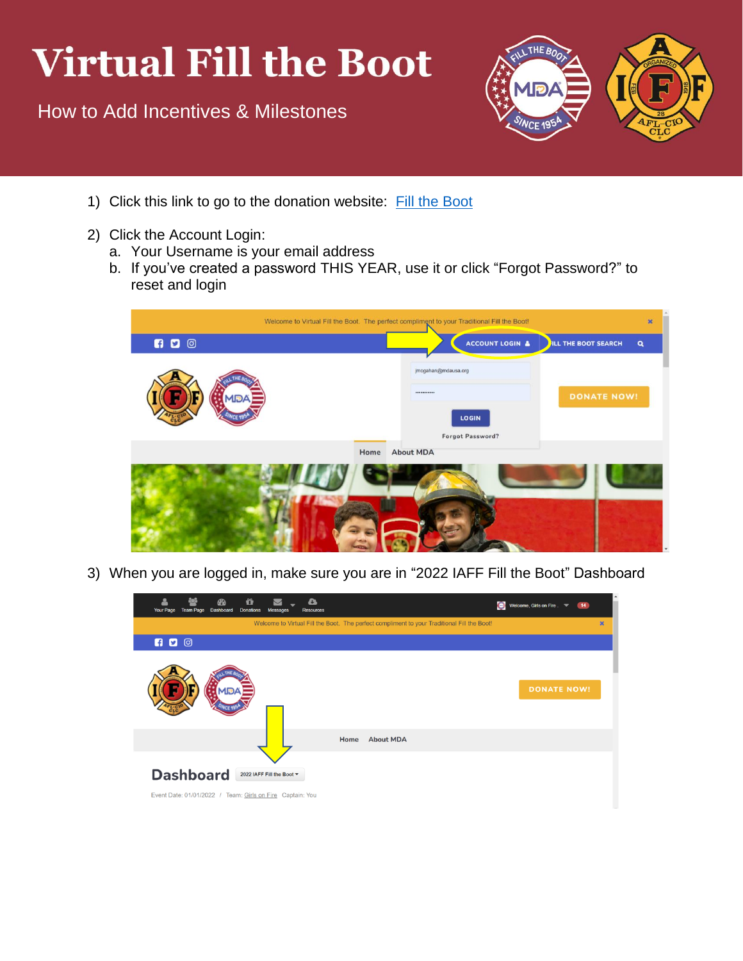## **Virtual Fill the Boot**

How to Add Incentives & Milestones



- 1) Click this link to go to the donation website: [Fill the Boot](https://filltheboot.donordrive.com/index.cfm?fuseaction=donorDrive.event&eventID=525)
- 2) Click the Account Login:
	- a. Your Username is your email address
	- b. If you've created a password THIS YEAR, use it or click "Forgot Password?" to reset and login



3) When you are logged in, make sure you are in "2022 IAFF Fill the Boot" Dashboard

| <b>Your Page</b> | <b>Team Page</b> | ക<br><b>Dashboard</b> | ũ<br><b>Donations</b> | $\checkmark$<br><b>Messages</b>                                                        | a<br><b>Resources</b>                                                                       |                  |  | $\bullet$ | Welcome, Girls on Fire . <b>Washington</b> |                    |   |
|------------------|------------------|-----------------------|-----------------------|----------------------------------------------------------------------------------------|---------------------------------------------------------------------------------------------|------------------|--|-----------|--------------------------------------------|--------------------|---|
|                  |                  |                       |                       |                                                                                        | Welcome to Virtual Fill the Boot. The perfect compliment to your Traditional Fill the Boot! |                  |  |           |                                            |                    | × |
| $\blacksquare$   |                  |                       |                       |                                                                                        |                                                                                             |                  |  |           |                                            |                    |   |
|                  |                  |                       |                       |                                                                                        |                                                                                             |                  |  |           |                                            | <b>DONATE NOW!</b> |   |
|                  |                  |                       |                       |                                                                                        | Home                                                                                        | <b>About MDA</b> |  |           |                                            |                    |   |
| <b>Dashboard</b> |                  |                       |                       | 2022 IAFF Fill the Boot ▼<br>Event Date: 01/01/2022 / Team: Girls on Fire Captain: You |                                                                                             |                  |  |           |                                            |                    |   |